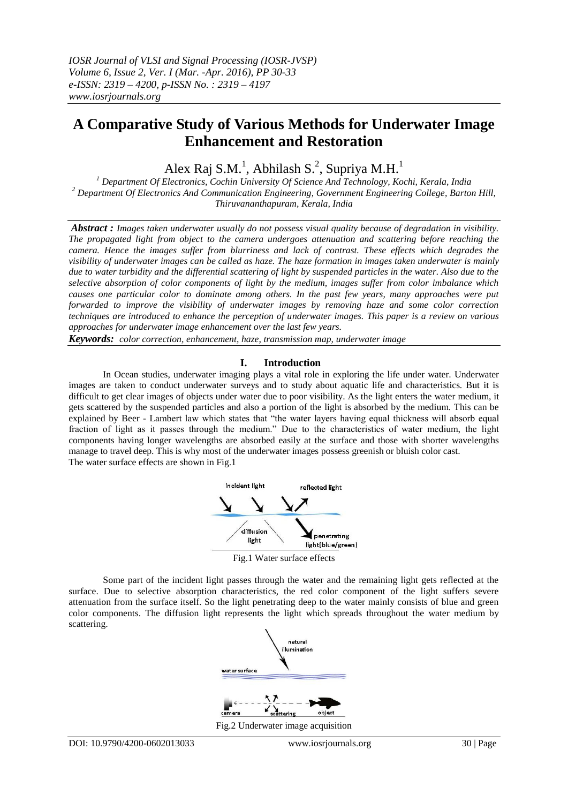# **A Comparative Study of Various Methods for Underwater Image Enhancement and Restoration**

Alex Raj S.M.<sup>1</sup>, Abhilash S.<sup>2</sup>, Supriya M.H.<sup>1</sup>

*<sup>1</sup> Department Of Electronics, Cochin University Of Science And Technology, Kochi, Kerala, India <sup>2</sup> Department Of Electronics And Communication Engineering, Government Engineering College, Barton Hill, Thiruvananthapuram, Kerala, India*

*Abstract : Images taken underwater usually do not possess visual quality because of degradation in visibility. The propagated light from object to the camera undergoes attenuation and scattering before reaching the camera. Hence the images suffer from blurriness and lack of contrast. These effects which degrades the visibility of underwater images can be called as haze. The haze formation in images taken underwater is mainly due to water turbidity and the differential scattering of light by suspended particles in the water. Also due to the selective absorption of color components of light by the medium, images suffer from color imbalance which causes one particular color to dominate among others. In the past few years, many approaches were put forwarded to improve the visibility of underwater images by removing haze and some color correction techniques are introduced to enhance the perception of underwater images. This paper is a review on various approaches for underwater image enhancement over the last few years.*

*Keywords: color correction, enhancement, haze, transmission map, underwater image*

## **I. Introduction**

In Ocean studies, underwater imaging plays a vital role in exploring the life under water. Underwater images are taken to conduct underwater surveys and to study about aquatic life and characteristics. But it is difficult to get clear images of objects under water due to poor visibility. As the light enters the water medium, it gets scattered by the suspended particles and also a portion of the light is absorbed by the medium. This can be explained by Beer - Lambert law which states that "the water layers having equal thickness will absorb equal fraction of light as it passes through the medium." Due to the characteristics of water medium, the light components having longer wavelengths are absorbed easily at the surface and those with shorter wavelengths manage to travel deep. This is why most of the underwater images possess greenish or bluish color cast. The water surface effects are shown in Fig.1



Fig.1 Water surface effects

Some part of the incident light passes through the water and the remaining light gets reflected at the surface. Due to selective absorption characteristics, the red color component of the light suffers severe attenuation from the surface itself. So the light penetrating deep to the water mainly consists of blue and green color components. The diffusion light represents the light which spreads throughout the water medium by scattering.



Fig.2 Underwater image acquisition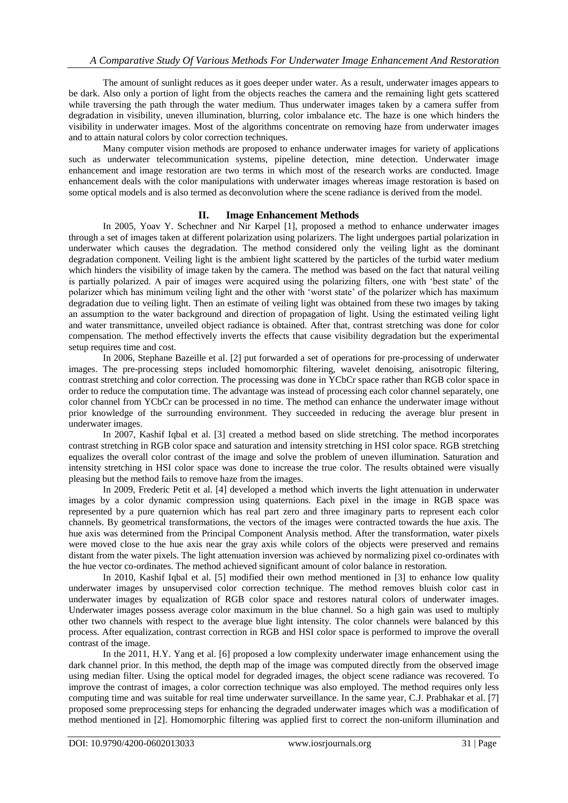The amount of sunlight reduces as it goes deeper under water. As a result, underwater images appears to be dark. Also only a portion of light from the objects reaches the camera and the remaining light gets scattered while traversing the path through the water medium. Thus underwater images taken by a camera suffer from degradation in visibility, uneven illumination, blurring, color imbalance etc. The haze is one which hinders the visibility in underwater images. Most of the algorithms concentrate on removing haze from underwater images and to attain natural colors by color correction techniques.

Many computer vision methods are proposed to enhance underwater images for variety of applications such as underwater telecommunication systems, pipeline detection, mine detection. Underwater image enhancement and image restoration are two terms in which most of the research works are conducted. Image enhancement deals with the color manipulations with underwater images whereas image restoration is based on some optical models and is also termed as deconvolution where the scene radiance is derived from the model.

# **II. Image Enhancement Methods**

In 2005, Yoav Y. Schechner and Nir Karpel [1], proposed a method to enhance underwater images through a set of images taken at different polarization using polarizers. The light undergoes partial polarization in underwater which causes the degradation. The method considered only the veiling light as the dominant degradation component. Veiling light is the ambient light scattered by the particles of the turbid water medium which hinders the visibility of image taken by the camera. The method was based on the fact that natural veiling is partially polarized. A pair of images were acquired using the polarizing filters, one with "best state" of the polarizer which has minimum veiling light and the other with "worst state" of the polarizer which has maximum degradation due to veiling light. Then an estimate of veiling light was obtained from these two images by taking an assumption to the water background and direction of propagation of light. Using the estimated veiling light and water transmittance, unveiled object radiance is obtained. After that, contrast stretching was done for color compensation. The method effectively inverts the effects that cause visibility degradation but the experimental setup requires time and cost.

In 2006, Stephane Bazeille et al. [2] put forwarded a set of operations for pre-processing of underwater images. The pre-processing steps included homomorphic filtering, wavelet denoising, anisotropic filtering, contrast stretching and color correction. The processing was done in YCbCr space rather than RGB color space in order to reduce the computation time. The advantage was instead of processing each color channel separately, one color channel from YCbCr can be processed in no time. The method can enhance the underwater image without prior knowledge of the surrounding environment. They succeeded in reducing the average blur present in underwater images.

In 2007, Kashif Iqbal et al. [3] created a method based on slide stretching. The method incorporates contrast stretching in RGB color space and saturation and intensity stretching in HSI color space. RGB stretching equalizes the overall color contrast of the image and solve the problem of uneven illumination. Saturation and intensity stretching in HSI color space was done to increase the true color. The results obtained were visually pleasing but the method fails to remove haze from the images.

In 2009, Frederic Petit et al. [4] developed a method which inverts the light attenuation in underwater images by a color dynamic compression using quaternions. Each pixel in the image in RGB space was represented by a pure quaternion which has real part zero and three imaginary parts to represent each color channels. By geometrical transformations, the vectors of the images were contracted towards the hue axis. The hue axis was determined from the Principal Component Analysis method. After the transformation, water pixels were moved close to the hue axis near the gray axis while colors of the objects were preserved and remains distant from the water pixels. The light attenuation inversion was achieved by normalizing pixel co-ordinates with the hue vector co-ordinates. The method achieved significant amount of color balance in restoration.

In 2010, Kashif Iqbal et al. [5] modified their own method mentioned in [3] to enhance low quality underwater images by unsupervised color correction technique. The method removes bluish color cast in underwater images by equalization of RGB color space and restores natural colors of underwater images. Underwater images possess average color maximum in the blue channel. So a high gain was used to multiply other two channels with respect to the average blue light intensity. The color channels were balanced by this process. After equalization, contrast correction in RGB and HSI color space is performed to improve the overall contrast of the image.

In the 2011, H.Y. Yang et al. [6] proposed a low complexity underwater image enhancement using the dark channel prior. In this method, the depth map of the image was computed directly from the observed image using median filter. Using the optical model for degraded images, the object scene radiance was recovered. To improve the contrast of images, a color correction technique was also employed. The method requires only less computing time and was suitable for real time underwater surveillance. In the same year, C.J. Prabhakar et al. [7] proposed some preprocessing steps for enhancing the degraded underwater images which was a modification of method mentioned in [2]. Homomorphic filtering was applied first to correct the non-uniform illumination and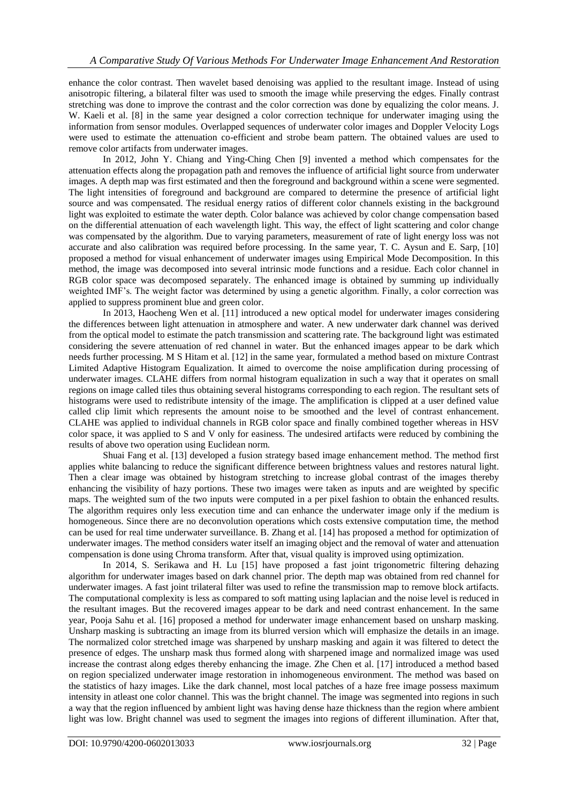enhance the color contrast. Then wavelet based denoising was applied to the resultant image. Instead of using anisotropic filtering, a bilateral filter was used to smooth the image while preserving the edges. Finally contrast stretching was done to improve the contrast and the color correction was done by equalizing the color means. J. W. Kaeli et al. [8] in the same year designed a color correction technique for underwater imaging using the information from sensor modules. Overlapped sequences of underwater color images and Doppler Velocity Logs were used to estimate the attenuation co-efficient and strobe beam pattern. The obtained values are used to remove color artifacts from underwater images.

In 2012, John Y. Chiang and Ying-Ching Chen [9] invented a method which compensates for the attenuation effects along the propagation path and removes the influence of artificial light source from underwater images. A depth map was first estimated and then the foreground and background within a scene were segmented. The light intensities of foreground and background are compared to determine the presence of artificial light source and was compensated. The residual energy ratios of different color channels existing in the background light was exploited to estimate the water depth. Color balance was achieved by color change compensation based on the differential attenuation of each wavelength light. This way, the effect of light scattering and color change was compensated by the algorithm. Due to varying parameters, measurement of rate of light energy loss was not accurate and also calibration was required before processing. In the same year, T. C. Aysun and E. Sarp, [10] proposed a method for visual enhancement of underwater images using Empirical Mode Decomposition. In this method, the image was decomposed into several intrinsic mode functions and a residue. Each color channel in RGB color space was decomposed separately. The enhanced image is obtained by summing up individually weighted IMF"s. The weight factor was determined by using a genetic algorithm. Finally, a color correction was applied to suppress prominent blue and green color.

In 2013, Haocheng Wen et al. [11] introduced a new optical model for underwater images considering the differences between light attenuation in atmosphere and water. A new underwater dark channel was derived from the optical model to estimate the patch transmission and scattering rate. The background light was estimated considering the severe attenuation of red channel in water. But the enhanced images appear to be dark which needs further processing. M S Hitam et al. [12] in the same year, formulated a method based on mixture Contrast Limited Adaptive Histogram Equalization. It aimed to overcome the noise amplification during processing of underwater images. CLAHE differs from normal histogram equalization in such a way that it operates on small regions on image called tiles thus obtaining several histograms corresponding to each region. The resultant sets of histograms were used to redistribute intensity of the image. The amplification is clipped at a user defined value called clip limit which represents the amount noise to be smoothed and the level of contrast enhancement. CLAHE was applied to individual channels in RGB color space and finally combined together whereas in HSV color space, it was applied to S and V only for easiness. The undesired artifacts were reduced by combining the results of above two operation using Euclidean norm.

Shuai Fang et al. [13] developed a fusion strategy based image enhancement method. The method first applies white balancing to reduce the significant difference between brightness values and restores natural light. Then a clear image was obtained by histogram stretching to increase global contrast of the images thereby enhancing the visibility of hazy portions. These two images were taken as inputs and are weighted by specific maps. The weighted sum of the two inputs were computed in a per pixel fashion to obtain the enhanced results. The algorithm requires only less execution time and can enhance the underwater image only if the medium is homogeneous. Since there are no deconvolution operations which costs extensive computation time, the method can be used for real time underwater surveillance. B. Zhang et al. [14] has proposed a method for optimization of underwater images. The method considers water itself an imaging object and the removal of water and attenuation compensation is done using Chroma transform. After that, visual quality is improved using optimization.

In 2014, S. Serikawa and H. Lu [15] have proposed a fast joint trigonometric filtering dehazing algorithm for underwater images based on dark channel prior. The depth map was obtained from red channel for underwater images. A fast joint trilateral filter was used to refine the transmission map to remove block artifacts. The computational complexity is less as compared to soft matting using laplacian and the noise level is reduced in the resultant images. But the recovered images appear to be dark and need contrast enhancement. In the same year, Pooja Sahu et al. [16] proposed a method for underwater image enhancement based on unsharp masking. Unsharp masking is subtracting an image from its blurred version which will emphasize the details in an image. The normalized color stretched image was sharpened by unsharp masking and again it was filtered to detect the presence of edges. The unsharp mask thus formed along with sharpened image and normalized image was used increase the contrast along edges thereby enhancing the image. Zhe Chen et al. [17] introduced a method based on region specialized underwater image restoration in inhomogeneous environment. The method was based on the statistics of hazy images. Like the dark channel, most local patches of a haze free image possess maximum intensity in atleast one color channel. This was the bright channel. The image was segmented into regions in such a way that the region influenced by ambient light was having dense haze thickness than the region where ambient light was low. Bright channel was used to segment the images into regions of different illumination. After that,